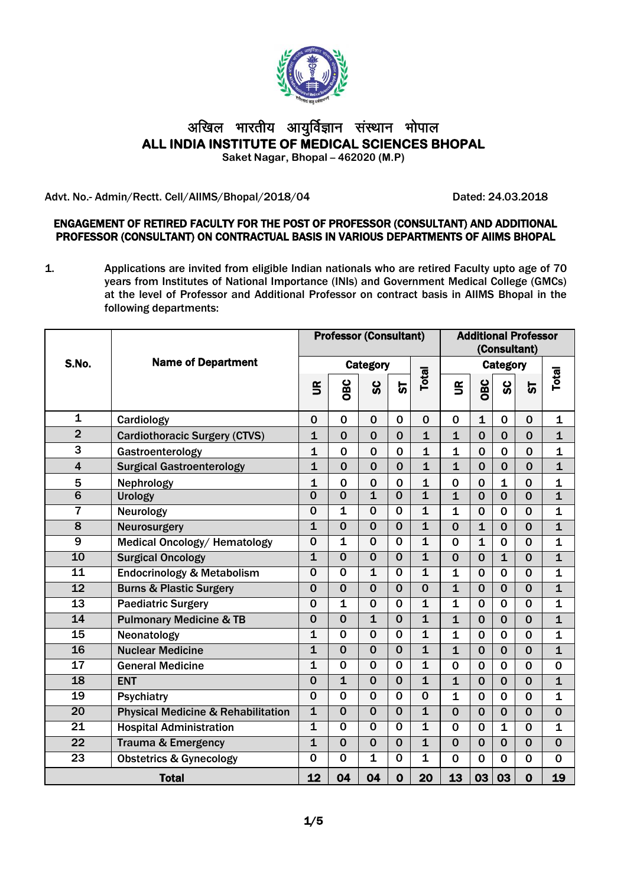

# अखिल भारतीय आयुर्विज्ञान संस्थान भोपाल **ALL INDIA INSTITUTE OF MEDICAL SCIENCES BHOPAL Saket Nagar, Bhopal – 462020 (M.P)**

Advt. No.- Admin/Rectt. Cell/AIIMS/Bhopal/2018/04 Dated: 24.03.2018

#### ENGAGEMENT OF RETIRED FACULTY FOR THE POST OF PROFESSOR (CONSULTANT) AND ADDITIONAL PROFESSOR (CONSULTANT) ON CONTRACTUAL BASIS IN VARIOUS DEPARTMENTS OF AIIMS BHOPAL

1. Applications are invited from eligible Indian nationals who are retired Faculty upto age of 70 years from Institutes of National Importance (INIs) and Government Medical College (GMCs) at the level of Professor and Additional Professor on contract basis in AIIMS Bhopal in the following departments:

| <b>Name of Department</b><br>S.No.<br><b>Category</b><br>Category<br><b>Total</b><br>OBC<br>OBC<br>ပ္တ<br>ပ္တ<br>$\mathbf{g}$<br>$\mathbf{g}$<br>ნ<br>$\mathbf 1$<br>$\mathbf 0$<br>$\mathbf{1}$<br>Cardiology<br>$\mathbf 0$<br>$\mathbf 0$<br>$\mathbf 0$<br>$\mathbf 0$<br>0<br>$\mathbf 0$<br>$\bf{0}$<br>$\overline{2}$<br>$\mathbf 0$<br>$\overline{0}$<br>$\mathbf{1}$<br>$\overline{1}$<br>$\overline{1}$<br>$\mathbf 0$<br>$\mathbf 0$<br>$\mathbf 0$<br>$\mathbf 0$<br><b>Cardiothoracic Surgery (CTVS)</b><br>3<br>$\mathbf{1}$<br>$\mathbf 0$<br>$\mathbf 0$<br>$\mathbf 0$<br>Gastroenterology<br>1<br>1<br>$\mathbf 0$<br>$\mathbf 0$<br>$\bf{0}$<br>$\overline{0}$<br>$\overline{0}$<br>$\overline{\mathbf{1}}$<br>$\overline{0}$<br>$\overline{0}$<br><b>Surgical Gastroenterology</b><br>$\overline{\mathbf{1}}$<br>$\overline{0}$<br>$\overline{1}$<br>$\overline{0}$<br>$\overline{4}$<br>5<br>Nephrology<br>$\mathbf 0$<br>$\mathbf 0$<br>0<br>$\mathbf 0$<br>1<br>$\mathbf 0$<br>1<br>1<br>$\mathbf 0$<br>$\overline{6}$<br>$\overline{0}$<br>$\overline{\mathbf{0}}$<br>$\overline{\mathbf{1}}$<br>$\overline{\mathbf{0}}$<br>$\overline{\mathbf{1}}$<br>$\overline{\mathbf{1}}$<br>$\overline{0}$<br>$\overline{0}$<br>$\overline{0}$<br>Urology<br>7<br>$\overline{\mathbf{1}}$<br>$\overline{0}$<br>$\overline{0}$<br>$\overline{0}$<br>$\overline{\mathbf{1}}$<br>Neurology<br>$\mathbf{1}$<br>$\mathbf 0$<br>$\Omega$<br>$\Omega$<br>8<br>$\mathbf{1}$<br>$\mathbf 0$<br>$\mathbf{1}$<br>Neurosurgery<br>$\mathbf 0$<br>$\mathbf 0$<br>$\mathbf 0$<br>$\mathbf{1}$<br>$\mathbf 0$<br>$\mathbf 0$<br>$\mathbf{1}$<br>$\mathbf 0$<br>$\mathbf{1}$<br>9<br>Medical Oncology/ Hematology<br>$\mathbf 0$<br>$\mathbf 0$<br>$\mathbf{1}$<br>$\mathbf 0$<br>$\mathbf 0$<br>$\mathbf 0$ | <b>Total</b><br>5       |
|------------------------------------------------------------------------------------------------------------------------------------------------------------------------------------------------------------------------------------------------------------------------------------------------------------------------------------------------------------------------------------------------------------------------------------------------------------------------------------------------------------------------------------------------------------------------------------------------------------------------------------------------------------------------------------------------------------------------------------------------------------------------------------------------------------------------------------------------------------------------------------------------------------------------------------------------------------------------------------------------------------------------------------------------------------------------------------------------------------------------------------------------------------------------------------------------------------------------------------------------------------------------------------------------------------------------------------------------------------------------------------------------------------------------------------------------------------------------------------------------------------------------------------------------------------------------------------------------------------------------------------------------------------------------------------------------------------------------------------------------------------------------------------------------------------|-------------------------|
|                                                                                                                                                                                                                                                                                                                                                                                                                                                                                                                                                                                                                                                                                                                                                                                                                                                                                                                                                                                                                                                                                                                                                                                                                                                                                                                                                                                                                                                                                                                                                                                                                                                                                                                                                                                                            |                         |
|                                                                                                                                                                                                                                                                                                                                                                                                                                                                                                                                                                                                                                                                                                                                                                                                                                                                                                                                                                                                                                                                                                                                                                                                                                                                                                                                                                                                                                                                                                                                                                                                                                                                                                                                                                                                            |                         |
|                                                                                                                                                                                                                                                                                                                                                                                                                                                                                                                                                                                                                                                                                                                                                                                                                                                                                                                                                                                                                                                                                                                                                                                                                                                                                                                                                                                                                                                                                                                                                                                                                                                                                                                                                                                                            | $\mathbf 1$             |
|                                                                                                                                                                                                                                                                                                                                                                                                                                                                                                                                                                                                                                                                                                                                                                                                                                                                                                                                                                                                                                                                                                                                                                                                                                                                                                                                                                                                                                                                                                                                                                                                                                                                                                                                                                                                            | $\mathbf{1}$            |
|                                                                                                                                                                                                                                                                                                                                                                                                                                                                                                                                                                                                                                                                                                                                                                                                                                                                                                                                                                                                                                                                                                                                                                                                                                                                                                                                                                                                                                                                                                                                                                                                                                                                                                                                                                                                            | 1                       |
|                                                                                                                                                                                                                                                                                                                                                                                                                                                                                                                                                                                                                                                                                                                                                                                                                                                                                                                                                                                                                                                                                                                                                                                                                                                                                                                                                                                                                                                                                                                                                                                                                                                                                                                                                                                                            | $\overline{\mathbf{1}}$ |
|                                                                                                                                                                                                                                                                                                                                                                                                                                                                                                                                                                                                                                                                                                                                                                                                                                                                                                                                                                                                                                                                                                                                                                                                                                                                                                                                                                                                                                                                                                                                                                                                                                                                                                                                                                                                            | $\mathbf{1}$            |
|                                                                                                                                                                                                                                                                                                                                                                                                                                                                                                                                                                                                                                                                                                                                                                                                                                                                                                                                                                                                                                                                                                                                                                                                                                                                                                                                                                                                                                                                                                                                                                                                                                                                                                                                                                                                            | $\overline{\mathbf{1}}$ |
|                                                                                                                                                                                                                                                                                                                                                                                                                                                                                                                                                                                                                                                                                                                                                                                                                                                                                                                                                                                                                                                                                                                                                                                                                                                                                                                                                                                                                                                                                                                                                                                                                                                                                                                                                                                                            | $\mathbf{1}$            |
|                                                                                                                                                                                                                                                                                                                                                                                                                                                                                                                                                                                                                                                                                                                                                                                                                                                                                                                                                                                                                                                                                                                                                                                                                                                                                                                                                                                                                                                                                                                                                                                                                                                                                                                                                                                                            | $\mathbf{1}$            |
|                                                                                                                                                                                                                                                                                                                                                                                                                                                                                                                                                                                                                                                                                                                                                                                                                                                                                                                                                                                                                                                                                                                                                                                                                                                                                                                                                                                                                                                                                                                                                                                                                                                                                                                                                                                                            | $\mathbf 1$             |
| 10<br><b>Surgical Oncology</b><br>$\overline{\mathbf{1}}$<br>$\overline{0}$<br>$\overline{\mathbf{0}}$<br>$\overline{\mathbf{1}}$<br>$\mathbf 0$<br>$\mathbf{1}$<br>$\mathbf 0$<br>$\mathbf 0$<br>$\mathbf 0$                                                                                                                                                                                                                                                                                                                                                                                                                                                                                                                                                                                                                                                                                                                                                                                                                                                                                                                                                                                                                                                                                                                                                                                                                                                                                                                                                                                                                                                                                                                                                                                              | $\mathbf{1}$            |
| $\overline{\mathbf{1}}$<br>$\overline{11}$<br><b>Endocrinology &amp; Metabolism</b><br>$\overline{\mathbf{0}}$<br>$\overline{1}$<br>$\overline{0}$<br>$\overline{0}$<br>$\mathbf{1}$<br>$\mathbf 0$<br>$\mathbf 0$<br>$\mathbf 0$                                                                                                                                                                                                                                                                                                                                                                                                                                                                                                                                                                                                                                                                                                                                                                                                                                                                                                                                                                                                                                                                                                                                                                                                                                                                                                                                                                                                                                                                                                                                                                          | $\mathbf{1}$            |
| $\overline{12}$<br>$\overline{0}$<br>$\overline{0}$<br><b>Burns &amp; Plastic Surgery</b><br>$\mathbf 0$<br>$\mathbf 0$<br>$\mathbf 0$<br>$\mathbf{1}$<br>$\mathbf 0$<br>$\mathbf 0$<br>$\mathbf 0$                                                                                                                                                                                                                                                                                                                                                                                                                                                                                                                                                                                                                                                                                                                                                                                                                                                                                                                                                                                                                                                                                                                                                                                                                                                                                                                                                                                                                                                                                                                                                                                                        | $\overline{\mathbf{1}}$ |
| $\overline{13}$<br>$\overline{\mathbf{1}}$<br>$\overline{0}$<br>$\overline{\mathbf{1}}$<br><b>Paediatric Surgery</b><br>$\overline{0}$<br>$\overline{0}$<br>$\overline{\mathbf{1}}$<br>$\mathbf 0$<br>$\mathbf 0$<br>$\mathbf 0$                                                                                                                                                                                                                                                                                                                                                                                                                                                                                                                                                                                                                                                                                                                                                                                                                                                                                                                                                                                                                                                                                                                                                                                                                                                                                                                                                                                                                                                                                                                                                                           | $\overline{\mathbf{1}}$ |
| $\overline{\mathbf{1}}$<br>$\overline{14}$<br>$\overline{0}$<br>$\overline{0}$<br>$\overline{\mathbf{1}}$<br><b>Pulmonary Medicine &amp; TB</b><br>$\mathbf 0$<br>$\mathbf{1}$<br>$\mathbf 0$<br>$\mathbf 0$<br>$\mathbf 0$                                                                                                                                                                                                                                                                                                                                                                                                                                                                                                                                                                                                                                                                                                                                                                                                                                                                                                                                                                                                                                                                                                                                                                                                                                                                                                                                                                                                                                                                                                                                                                                | $\overline{\mathbf{1}}$ |
| $\overline{15}$<br>$\overline{\mathbf{0}}$<br>$\overline{0}$<br>$\overline{\mathbf{1}}$<br>1<br>$\overline{0}$<br>$\overline{\mathbf{1}}$<br>Neonatology<br>$\mathbf 0$<br>$\mathbf 0$<br>$\mathbf 0$                                                                                                                                                                                                                                                                                                                                                                                                                                                                                                                                                                                                                                                                                                                                                                                                                                                                                                                                                                                                                                                                                                                                                                                                                                                                                                                                                                                                                                                                                                                                                                                                      | $\mathbf{1}$            |
| $\overline{16}$<br>$\overline{\mathbf{1}}$<br>$\overline{0}$<br>$\overline{\mathbf{0}}$<br>$\overline{\mathbf{0}}$<br>$\overline{\mathbf{1}}$<br><b>Nuclear Medicine</b><br>$\overline{1}$<br>$\overline{0}$<br>$\mathbf 0$<br>$\mathbf 0$                                                                                                                                                                                                                                                                                                                                                                                                                                                                                                                                                                                                                                                                                                                                                                                                                                                                                                                                                                                                                                                                                                                                                                                                                                                                                                                                                                                                                                                                                                                                                                 | $\overline{\mathbf{1}}$ |
| $\overline{17}$<br>$\overline{0}$<br>$\overline{\mathbf{1}}$<br>$\overline{0}$<br>$\overline{0}$<br>$\overline{\mathbf{1}}$<br>$\mathbf 0$<br>$\mathbf 0$<br>$\mathbf 0$<br>$\mathbf 0$<br><b>General Medicine</b>                                                                                                                                                                                                                                                                                                                                                                                                                                                                                                                                                                                                                                                                                                                                                                                                                                                                                                                                                                                                                                                                                                                                                                                                                                                                                                                                                                                                                                                                                                                                                                                         | $\mathbf 0$             |
| $\overline{0}$<br>$\overline{\mathbf{1}}$<br>$\overline{\mathbf{0}}$<br>$\overline{\mathbf{0}}$<br>$\overline{\mathbf{1}}$<br>$\overline{18}$<br>$\overline{0}$<br>$\mathbf{1}$<br>$\mathbf 0$<br>$\mathbf 0$<br><b>ENT</b>                                                                                                                                                                                                                                                                                                                                                                                                                                                                                                                                                                                                                                                                                                                                                                                                                                                                                                                                                                                                                                                                                                                                                                                                                                                                                                                                                                                                                                                                                                                                                                                | $\overline{\mathbf{1}}$ |
| $\overline{19}$<br>$\overline{0}$<br>$\overline{0}$<br>$\overline{0}$<br>$\overline{0}$<br>$\overline{0}$<br>$\mathbf{1}$<br>$\mathbf 0$<br>$\mathbf 0$<br>$\mathbf 0$<br><b>Psychiatry</b>                                                                                                                                                                                                                                                                                                                                                                                                                                                                                                                                                                                                                                                                                                                                                                                                                                                                                                                                                                                                                                                                                                                                                                                                                                                                                                                                                                                                                                                                                                                                                                                                                | $\mathbf{1}$            |
| $\overline{0}$<br>$\overline{\mathbf{1}}$<br>$\mathbf{1}$<br>$\mathbf 0$<br>$\overline{0}$<br>20<br><b>Physical Medicine &amp; Rehabilitation</b><br>$\mathbf 0$<br>$\mathbf 0$<br>$\mathbf 0$<br>$\mathbf 0$                                                                                                                                                                                                                                                                                                                                                                                                                                                                                                                                                                                                                                                                                                                                                                                                                                                                                                                                                                                                                                                                                                                                                                                                                                                                                                                                                                                                                                                                                                                                                                                              | $\mathbf 0$             |
| $\overline{\mathbf{1}}$<br>$\overline{0}$<br>$\overline{1}$<br>21<br><b>Hospital Administration</b><br>$\mathbf 0$<br>$\mathbf 0$<br>$\mathbf 0$<br>$\mathbf{1}$<br>$\overline{0}$<br>$\mathbf 0$                                                                                                                                                                                                                                                                                                                                                                                                                                                                                                                                                                                                                                                                                                                                                                                                                                                                                                                                                                                                                                                                                                                                                                                                                                                                                                                                                                                                                                                                                                                                                                                                          | $\mathbf{1}$            |
| $\overline{\mathbf{1}}$<br>$\overline{22}$<br>$\mathbf{1}$<br>$\overline{0}$<br>$\overline{0}$<br>$\overline{\mathbf{0}}$<br>$\mathbf 0$<br>$\mathbf 0$<br>$\mathbf 0$<br>$\mathbf 0$<br><b>Trauma &amp; Emergency</b>                                                                                                                                                                                                                                                                                                                                                                                                                                                                                                                                                                                                                                                                                                                                                                                                                                                                                                                                                                                                                                                                                                                                                                                                                                                                                                                                                                                                                                                                                                                                                                                     | $\overline{0}$          |
| $\overline{23}$<br>$\overline{0}$<br>$\overline{\mathbf{1}}$<br>$\overline{\mathbf{1}}$<br>$\overline{0}$<br>$\overline{0}$<br><b>Obstetrics &amp; Gynecology</b><br>$\mathbf 0$<br>$\mathbf 0$<br>$\mathbf 0$<br>$\mathbf 0$                                                                                                                                                                                                                                                                                                                                                                                                                                                                                                                                                                                                                                                                                                                                                                                                                                                                                                                                                                                                                                                                                                                                                                                                                                                                                                                                                                                                                                                                                                                                                                              |                         |
| 12<br>04<br>$\mathbf 0$<br>13<br>03<br>04<br>20<br>03<br>$\mathbf 0$<br><b>Total</b>                                                                                                                                                                                                                                                                                                                                                                                                                                                                                                                                                                                                                                                                                                                                                                                                                                                                                                                                                                                                                                                                                                                                                                                                                                                                                                                                                                                                                                                                                                                                                                                                                                                                                                                       | $\overline{0}$          |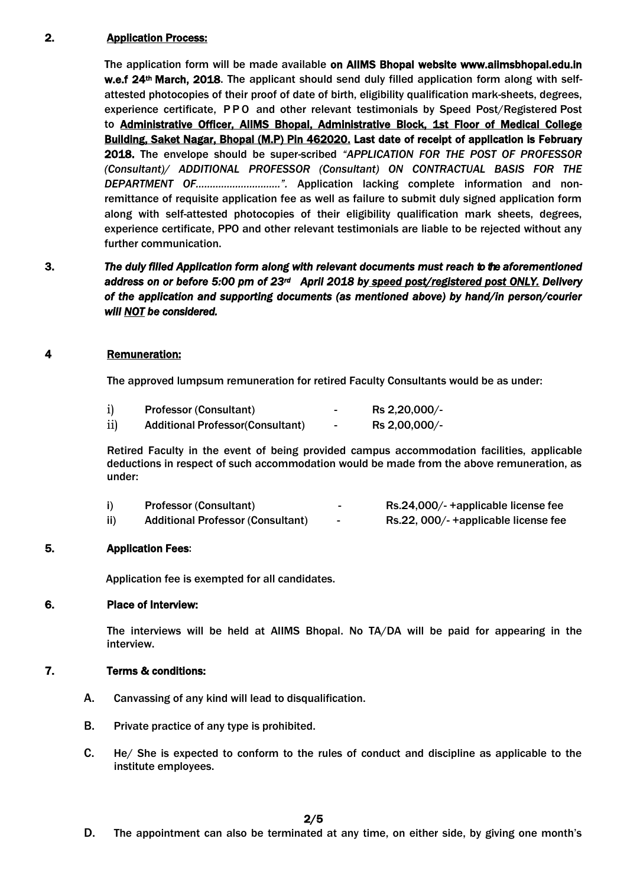## 2. Application Process:

The application form will be made available on AIIMS Bhopal website www.aiimsbhopal.edu.in w.e.f 24<sup>th</sup> March, 2018. The applicant should send duly filled application form along with selfattested photocopies of their proof of date of birth, eligibility qualification mark-sheets, degrees, experience certificate, P P O and other relevant testimonials by Speed Post/Registered Post to Administrative Officer, AIIMS Bhopal, Administrative Block, 1st Floor of Medical College Building, Saket Nagar, Bhopal (M.P) Pin 462020. Last date of receipt of application is February 2018. The envelope should be super-scribed *"APPLICATION FOR THE POST OF PROFESSOR (Consultant)/ ADDITIONAL PROFESSOR (Consultant) ON CONTRACTUAL BASIS FOR THE DEPARTMENT OF…………………………".* Application lacking complete information and nonremittance of requisite application fee as well as failure to submit duly signed application form along with self-attested photocopies of their eligibility qualification mark sheets, degrees, experience certificate, PPO and other relevant testimonials are liable to be rejected without any further communication.

## 3. *The duly filled Application form along with relevant documents must reach to the aforementioned address on or before 5:00 pm of 23rd April 2018 by speed post/registered post ONLY. Delivery of the application and supporting documents (as mentioned above) by hand/in person/courier will NOT be considered.*

## 4 Remuneration:

The approved lumpsum remuneration for retired Faculty Consultants would be as under:

| i)  | <b>Professor (Consultant)</b>            | -                        | Rs 2,20,000/- |
|-----|------------------------------------------|--------------------------|---------------|
| ii) | <b>Additional Professor (Consultant)</b> | $\overline{\phantom{0}}$ | Rs 2,00,000/- |

Retired Faculty in the event of being provided campus accommodation facilities, applicable deductions in respect of such accommodation would be made from the above remuneration, as under:

|     | <b>Professor (Consultant)</b>            |   | Rs.24,000/-+applicable license fee  |
|-----|------------------------------------------|---|-------------------------------------|
| ii) | <b>Additional Professor (Consultant)</b> | ۰ | Rs.22, 000/-+applicable license fee |

## 5. Application Fees:

Application fee is exempted for all candidates.

#### 6. Place of Interview:

The interviews will be held at AIIMS Bhopal. No TA/DA will be paid for appearing in the interview.

## 7. Terms & conditions:

- A. Canvassing of any kind will lead to disqualification.
- B. Private practice of any type is prohibited.
- C. He/ She is expected to conform to the rules of conduct and discipline as applicable to the institute employees.

#### 2/5

D. The appointment can also be terminated at any time, on either side, by giving one month's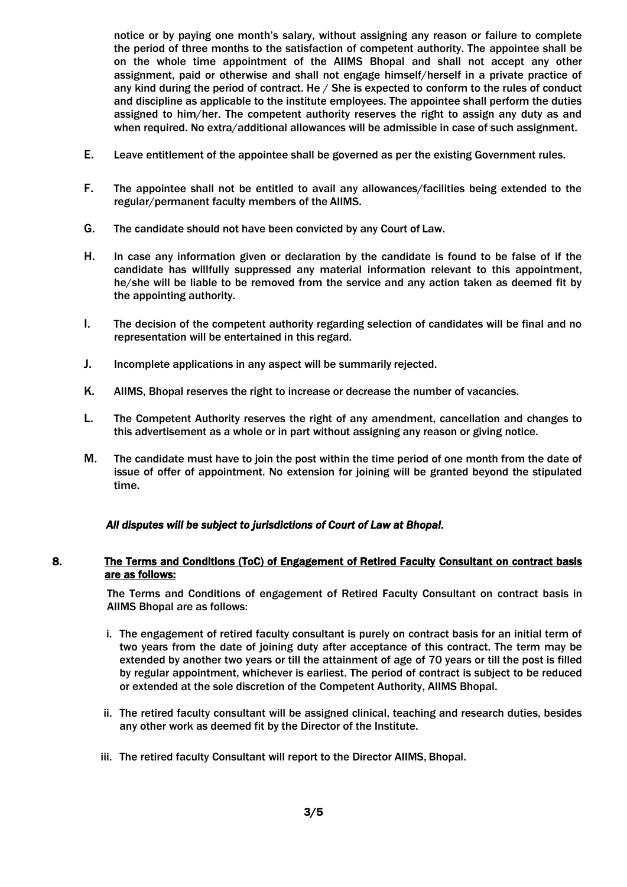notice or by paying one month's salary, without assigning any reason or failure to complete the period of three months to the satisfaction of competent authority. The appointee shall be on the whole time appointment of the AIIMS Bhopal and shall not accept any other assignment, paid or otherwise and shall not engage himself/herself in a private practice of any kind during the period of contract. He / She is expected to conform to the rules of conduct and discipline as applicable to the institute employees. The appointee shall perform the duties assigned to him/her. The competent authority reserves the right to assign any duty as and when required. No extra/additional allowances will be admissible in case of such assignment.

- E. Leave entitlement of the appointee shall be governed as per the existing Government rules.
- F. The appointee shall not be entitled to avail any allowances/facilities being extended to the regular/permanent faculty members of the AIIMS.
- G. The candidate should not have been convicted by any Court of Law.
- H. In case any information given or declaration by the candidate is found to be false of if the candidate has willfully suppressed any material information relevant to this appointment, he/she will be liable to be removed from the service and any action taken as deemed fit by the appointing authority.
- I. The decision of the competent authority regarding selection of candidates will be final and no representation will be entertained in this regard.
- J. Incomplete applications in any aspect will be summarily rejected.
- K. AIIMS, Bhopal reserves the right to increase or decrease the number of vacancies.
- L. The Competent Authority reserves the right of any amendment, cancellation and changes to this advertisement as a whole or in part without assigning any reason or giving notice.
- M. The candidate must have to join the post within the time period of one month from the date of issue of offer of appointment. No extension for joining will be granted beyond the stipulated time.

#### *All disputes will be subject to jurisdictions of Court of Law at Bhopal.*

#### 8. The Terms and Conditions (ToC) of Engagement of Retired Faculty Consultant on contract basis are as follows:

The Terms and Conditions of engagement of Retired Faculty Consultant on contract basis in AIIMS Bhopal are as follows:

- i. The engagement of retired faculty consultant is purely on contract basis for an initial term of two years from the date of joining duty after acceptance of this contract. The term may be extended by another two years or till the attainment of age of 70 years or till the post is filled by regular appointment, whichever is earliest. The period of contract is subject to be reduced or extended at the sole discretion of the Competent Authority, AIIMS Bhopal.
- ii. The retired faculty consultant will be assigned clinical, teaching and research duties, besides any other work as deemed fit by the Director of the Institute.
- iii. The retired faculty Consultant will report to the Director AIIMS, Bhopal.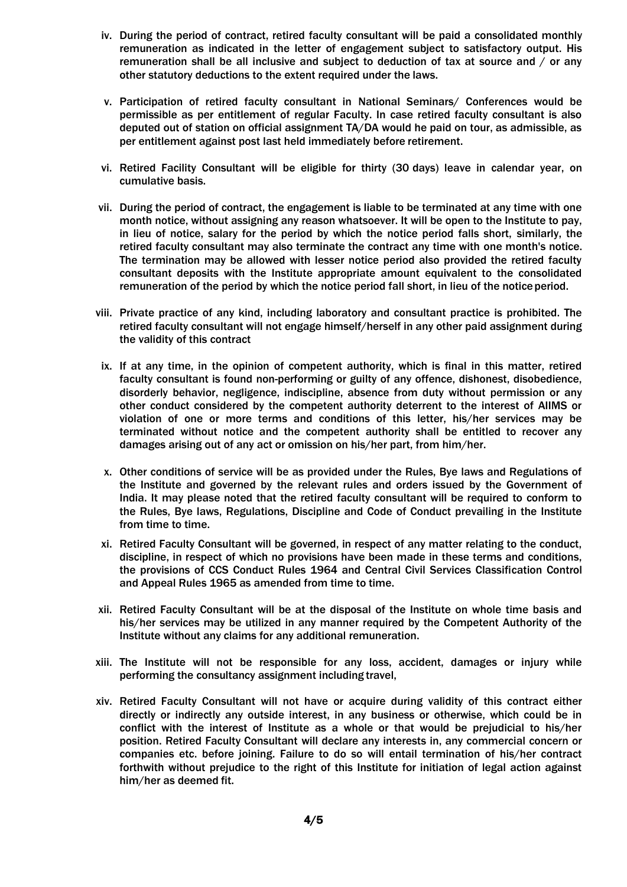- iv. During the period of contract, retired faculty consultant will be paid a consolidated monthly remuneration as indicated in the letter of engagement subject to satisfactory output. His remuneration shall be all inclusive and subject to deduction of tax at source and / or any other statutory deductions to the extent required under the laws.
- v. Participation of retired faculty consultant in National Seminars/ Conferences would be permissible as per entitlement of regular Faculty. In case retired faculty consultant is also deputed out of station on official assignment TA/DA would he paid on tour, as admissible, as per entitlement against post last held immediately before retirement.
- vi. Retired Facility Consultant will be eligible for thirty (30 days) leave in calendar year, on cumulative basis.
- vii. During the period of contract, the engagement is liable to be terminated at any time with one month notice, without assigning any reason whatsoever. It will be open to the Institute to pay, in lieu of notice, salary for the period by which the notice period falls short, similarly, the retired faculty consultant may also terminate the contract any time with one month's notice. The termination may be allowed with lesser notice period also provided the retired faculty consultant deposits with the Institute appropriate amount equivalent to the consolidated remuneration of the period by which the notice period fall short, in lieu of the notice period.
- viii. Private practice of any kind, including laboratory and consultant practice is prohibited. The retired faculty consultant will not engage himself/herself in any other paid assignment during the validity of this contract
- ix. If at any time, in the opinion of competent authority, which is final in this matter, retired faculty consultant is found non-performing or guilty of any offence, dishonest, disobedience, disorderly behavior, negligence, indiscipline, absence from duty without permission or any other conduct considered by the competent authority deterrent to the interest of AIIMS or violation of one or more terms and conditions of this letter, his/her services may be terminated without notice and the competent authority shall be entitled to recover any damages arising out of any act or omission on his/her part, from him/her.
- x. Other conditions of service will be as provided under the Rules, Bye laws and Regulations of the Institute and governed by the relevant rules and orders issued by the Government of India. It may please noted that the retired faculty consultant will be required to conform to the Rules, Bye laws, Regulations, Discipline and Code of Conduct prevailing in the Institute from time to time.
- xi. Retired Faculty Consultant will be governed, in respect of any matter relating to the conduct, discipline, in respect of which no provisions have been made in these terms and conditions, the provisions of CCS Conduct Rules 1964 and Central Civil Services Classification Control and Appeal Rules 1965 as amended from time to time.
- xii. Retired Faculty Consultant will be at the disposal of the Institute on whole time basis and his/her services may be utilized in any manner required by the Competent Authority of the Institute without any claims for any additional remuneration.
- xiii. The Institute will not be responsible for any loss, accident, damages or injury while performing the consultancy assignment including travel,
- xiv. Retired Faculty Consultant will not have or acquire during validity of this contract either directly or indirectly any outside interest, in any business or otherwise, which could be in conflict with the interest of Institute as a whole or that would be prejudicial to his/her position. Retired Faculty Consultant will declare any interests in, any commercial concern or companies etc. before joining. Failure to do so will entail termination of his/her contract forthwith without prejudice to the right of this Institute for initiation of legal action against him/her as deemed fit.